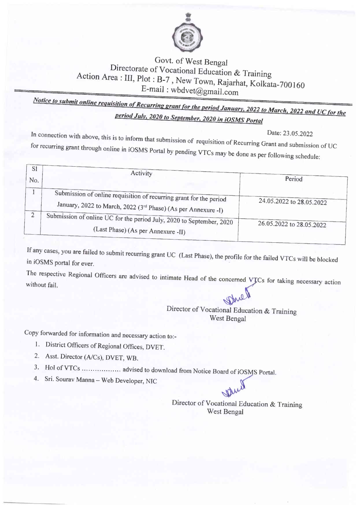

## Govt. of West Bengal Directorate of Vocational Education & Training Action Area : III, Plot : B-7, New Town, Rajarhat, Kolkata-700160 E-mail: wbdvet@gmail.com

Notice to submit online requisition of Recurring grant for the period January, 2022 to March, 2022 and UC for the period July, 2020 to September, 2020 in iOSMS Portal

Date: 23.05.2022

In connection with above, this is to inform that submission of requisition of Recurring Grant and submission of UC for recurring grant through online in iOSMS Portal by pending VTCs may be done as per following schedule:

| <sub>S1</sub><br>No. | Activity                                                                                                                            | Period                   |  |
|----------------------|-------------------------------------------------------------------------------------------------------------------------------------|--------------------------|--|
|                      | Submission of online requisition of recurring grant for the period<br>January, 2022 to March, 2022 (3rd Phase) (As per Annexure -I) | 24.05.2022 to 28.05.2022 |  |
|                      | Submission of online UC for the period July, 2020 to September, 2020<br>(Last Phase) (As per Annexure -II)                          | 26.05.2022 to 28.05.2022 |  |

If any cases, you are failed to submit recurring grant UC (Last Phase), the profile for the failed VTCs will be blocked in iOSMS portal for ever.

The respective Regional Officers are advised to intimate Head of the concerned VTCs for taking necessary action without fail.

Director of Vocational Education & Training West Bengal

Copy forwarded for information and necessary action to:-

- 1. District Officers of Regional Offices, DVET.
- 2. Asst. Director (A/Cs), DVET, WB.
- 3. Hol of VTCs ................... advised to download from Notice Board of iOSMS Portal.
- 4. Sri. Sourav Manna Web Developer, NIC

Director of Vocational Education & Training West Bengal